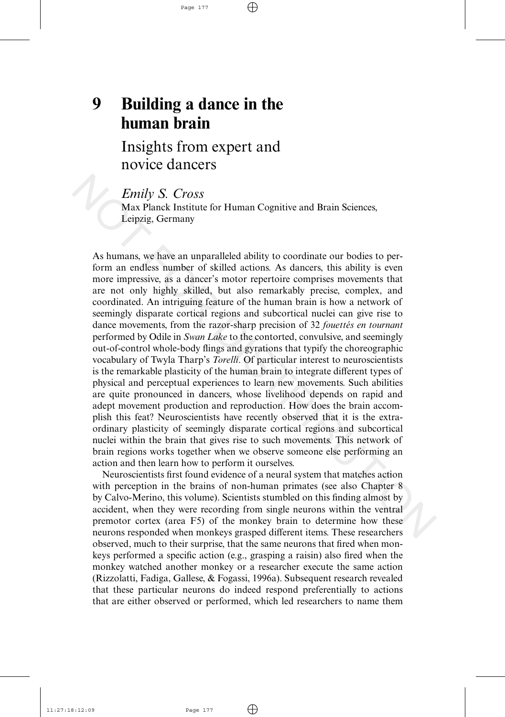$\oplus$ 

# **9 Building a dance in the human brain**

# Insights from expert and novice dancers

*Emily S. Cross*

Max Planck Institute for Human Cognitive and Brain Sciences, Leipzig, Germany

**Emily S. Cross**<br>
Max Planck Institute for Human Cognitive and Brain Sciences,<br>
Leipzig, Germany<br>
Leipzig, Germany<br>
As humans, we have an unparalleled ability to coordinate our bodies to per-<br>
form an endless multer of sk As humans, we have an unparalleled ability to coordinate our bodies to perform an endless number of skilled actions. As dancers, this ability is even more impressive, as a dancer's motor repertoire comprises movements that are not only highly skilled, but also remarkably precise, complex, and coordinated. An intriguing feature of the human brain is how a network of seemingly disparate cortical regions and subcortical nuclei can give rise to dance movements, from the razor-sharp precision of 32 *fouettés en tournant* performed by Odile in *Swan Lake* to the contorted, convulsive, and seemingly out-of-control whole-body flings and gyrations that typify the choreographic vocabulary of Twyla Tharp's *Torelli*. Of particular interest to neuroscientists is the remarkable plasticity of the human brain to integrate different types of physical and perceptual experiences to learn new movements. Such abilities are quite pronounced in dancers, whose livelihood depends on rapid and adept movement production and reproduction. How does the brain accomplish this feat? Neuroscientists have recently observed that it is the extraordinary plasticity of seemingly disparate cortical regions and subcortical nuclei within the brain that gives rise to such movements. This network of brain regions works together when we observe someone else performing an action and then learn how to perform it ourselves.

Neuroscientists first found evidence of a neural system that matches action with perception in the brains of non-human primates (see also Chapter 8 by Calvo-Merino, this volume). Scientists stumbled on this finding almost by accident, when they were recording from single neurons within the ventral premotor cortex (area F5) of the monkey brain to determine how these neurons responded when monkeys grasped different items. These researchers observed, much to their surprise, that the same neurons that fired when monkeys performed a specific action (e.g., grasping a raisin) also fired when the monkey watched another monkey or a researcher execute the same action (Rizzolatti, Fadiga, Gallese, & Fogassi, 1996a). Subsequent research revealed that these particular neurons do indeed respond preferentially to actions that are either observed or performed, which led researchers to name them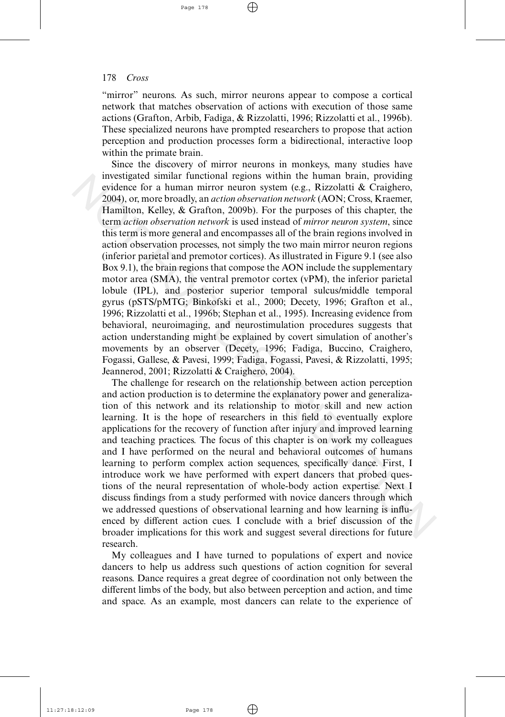#### 178 *Cross*

"mirror" neurons. As such, mirror neurons appear to compose a cortical network that matches observation of actions with execution of those same actions (Grafton, Arbib, Fadiga, & Rizzolatti, 1996; Rizzolatti et al., 1996b). These specialized neurons have prompted researchers to propose that action perception and production processes form a bidirectional, interactive loop within the primate brain.

meetingated similar functional regions within the human brain, providing<br>widence for a human mirror neuron system (e.g., Rizzolatii & Craighero,<br>2004), or, more broadly, an action observation network (AON; Cross, Kraener, Since the discovery of mirror neurons in monkeys, many studies have investigated similar functional regions within the human brain, providing evidence for a human mirror neuron system (e.g., Rizzolatti & Craighero, 2004), or, more broadly, an *action observation network* (AON; Cross, Kraemer, Hamilton, Kelley, & Grafton, 2009b). For the purposes of this chapter, the term *action observation network* is used instead of *mirror neuron system*, since this term is more general and encompasses all of the brain regions involved in action observation processes, not simply the two main mirror neuron regions (inferior parietal and premotor cortices). As illustrated in Figure 9.1 (see also Box 9.1), the brain regions that compose the AON include the supplementary motor area (SMA), the ventral premotor cortex (vPM), the inferior parietal lobule (IPL), and posterior superior temporal sulcus/middle temporal gyrus (pSTS/pMTG; Binkofski et al., 2000; Decety, 1996; Grafton et al., 1996; Rizzolatti et al., 1996b; Stephan et al., 1995). Increasing evidence from behavioral, neuroimaging, and neurostimulation procedures suggests that action understanding might be explained by covert simulation of another's movements by an observer (Decety, 1996; Fadiga, Buccino, Craighero, Fogassi, Gallese, & Pavesi, 1999; Fadiga, Fogassi, Pavesi, & Rizzolatti, 1995; Jeannerod, 2001; Rizzolatti & Craighero, 2004).

The challenge for research on the relationship between action perception and action production is to determine the explanatory power and generalization of this network and its relationship to motor skill and new action learning. It is the hope of researchers in this field to eventually explore applications for the recovery of function after injury and improved learning and teaching practices. The focus of this chapter is on work my colleagues and I have performed on the neural and behavioral outcomes of humans learning to perform complex action sequences, specifically dance. First, I introduce work we have performed with expert dancers that probed questions of the neural representation of whole-body action expertise. Next I discuss findings from a study performed with novice dancers through which we addressed questions of observational learning and how learning is influenced by different action cues. I conclude with a brief discussion of the broader implications for this work and suggest several directions for future research.

My colleagues and I have turned to populations of expert and novice dancers to help us address such questions of action cognition for several reasons. Dance requires a great degree of coordination not only between the different limbs of the body, but also between perception and action, and time and space. As an example, most dancers can relate to the experience of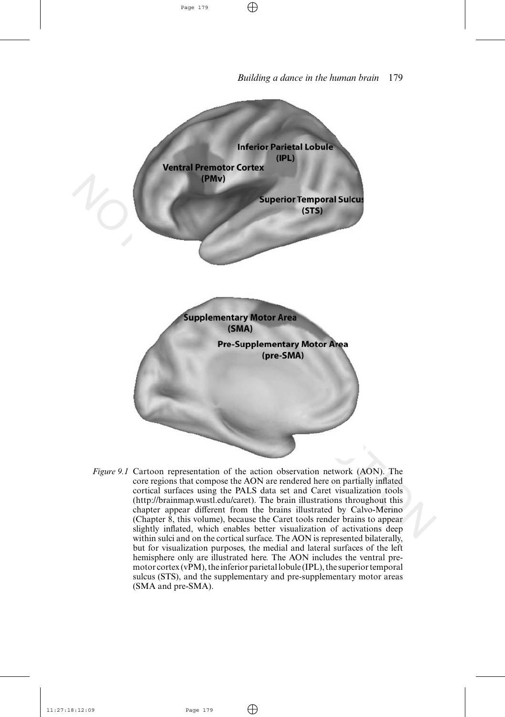

 $\bigoplus$ 

*Figure 9.1* Cartoon representation of the action observation network (AON). The core regions that compose the AON are rendered here on partially inflated cortical surfaces using the PALS data set and Caret visualization tools (http://brainmap.wustl.edu/caret). The brain illustrations throughout this chapter appear different from the brains illustrated by Calvo-Merino (Chapter 8, this volume), because the Caret tools render brains to appear slightly inflated, which enables better visualization of activations deep within sulci and on the cortical surface. The AON is represented bilaterally, but for visualization purposes, the medial and lateral surfaces of the left hemisphere only are illustrated here. The AON includes the ventral premotor cortex (vPM), the inferior parietal lobule (IPL), the superior temporal sulcus (STS), and the supplementary and pre-supplementary motor areas (SMA and pre-SMA).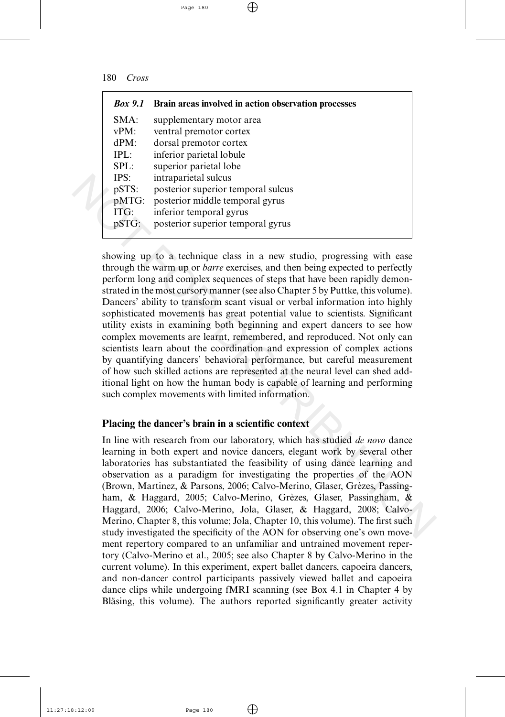$\oplus$ 

180 *Cross*

| <b>Box 9.1</b> | Brain areas involved in action observation processes |
|----------------|------------------------------------------------------|
| $SMA$ :        | supplementary motor area                             |
| vPM:           | ventral premotor cortex                              |
| dPM:           | dorsal premotor cortex                               |
| IPL:           | inferior parietal lobule                             |
| SPL:           | superior parietal lobe                               |
| IPS:           | intraparietal sulcus                                 |
| pSTS:          | posterior superior temporal sulcus                   |
| $pMTG$ :       | posterior middle temporal gyrus                      |
| ITG:           | inferior temporal gyrus                              |
| pSTG:          | posterior superior temporal gyrus                    |
|                |                                                      |

IPS: intrapried sultus<br>
pSTS: posterior superior temporal sultus<br>
pSTS: posterior superior temporal gyrus<br>
TIG: posterior middle temporal gyrus<br>
TIG: inferior cemporal gyrus<br>
pSTG: posterior superior temporal gyrus<br>
pSTG: showing up to a technique class in a new studio, progressing with ease through the warm up or *barre* exercises, and then being expected to perfectly perform long and complex sequences of steps that have been rapidly demonstrated in the most cursory manner (see also Chapter 5 by Puttke, this volume). Dancers' ability to transform scant visual or verbal information into highly sophisticated movements has great potential value to scientists. Significant utility exists in examining both beginning and expert dancers to see how complex movements are learnt, remembered, and reproduced. Not only can scientists learn about the coordination and expression of complex actions by quantifying dancers' behavioral performance, but careful measurement of how such skilled actions are represented at the neural level can shed additional light on how the human body is capable of learning and performing such complex movements with limited information.

# **Placing the dancer's brain in a scientific context**

In line with research from our laboratory, which has studied *de novo* dance learning in both expert and novice dancers, elegant work by several other laboratories has substantiated the feasibility of using dance learning and observation as a paradigm for investigating the properties of the AON (Brown, Martinez, & Parsons, 2006; Calvo-Merino, Glaser, Grèzes, Passingham, & Haggard, 2005; Calvo-Merino, Grèzes, Glaser, Passingham, & Haggard, 2006; Calvo-Merino, Jola, Glaser, & Haggard, 2008; Calvo-Merino, Chapter 8, this volume; Jola, Chapter 10, this volume). The first such study investigated the specificity of the AON for observing one's own movement repertory compared to an unfamiliar and untrained movement repertory (Calvo-Merino et al., 2005; see also Chapter 8 by Calvo-Merino in the current volume). In this experiment, expert ballet dancers, capoeira dancers, and non-dancer control participants passively viewed ballet and capoeira dance clips while undergoing fMRI scanning (see Box 4.1 in Chapter 4 by Bläsing, this volume). The authors reported significantly greater activity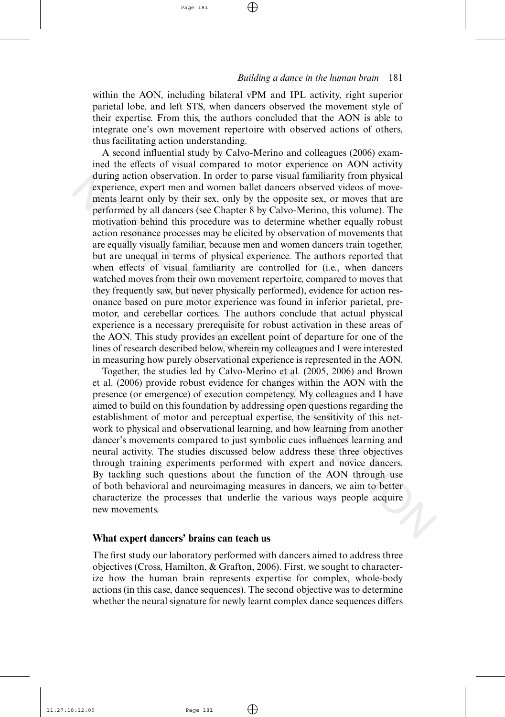within the AON, including bilateral vPM and IPL activity, right superior parietal lobe, and left STS, when dancers observed the movement style of their expertise. From this, the authors concluded that the AON is able to integrate one's own movement repertoire with observed actions of others, thus facilitating action understanding.

 $\oplus$ 

Page 181

during action observation. In order to parse usual almularity from physical conservation, the order to parter experiments learnt only by their sex, only by the opposite sex, or moves that are performed by all dancers (see A second influential study by Calvo-Merino and colleagues (2006) examined the effects of visual compared to motor experience on AON activity during action observation. In order to parse visual familiarity from physical experience, expert men and women ballet dancers observed videos of movements learnt only by their sex, only by the opposite sex, or moves that are performed by all dancers (see Chapter 8 by Calvo-Merino, this volume). The motivation behind this procedure was to determine whether equally robust action resonance processes may be elicited by observation of movements that are equally visually familiar, because men and women dancers train together, but are unequal in terms of physical experience. The authors reported that when effects of visual familiarity are controlled for (i.e., when dancers watched moves from their own movement repertoire, compared to moves that they frequently saw, but never physically performed), evidence for action resonance based on pure motor experience was found in inferior parietal, premotor, and cerebellar cortices. The authors conclude that actual physical experience is a necessary prerequisite for robust activation in these areas of the AON. This study provides an excellent point of departure for one of the lines of research described below, wherein my colleagues and I were interested in measuring how purely observational experience is represented in the AON.

Together, the studies led by Calvo-Merino et al. (2005, 2006) and Brown et al. (2006) provide robust evidence for changes within the AON with the presence (or emergence) of execution competency. My colleagues and I have aimed to build on this foundation by addressing open questions regarding the establishment of motor and perceptual expertise, the sensitivity of this network to physical and observational learning, and how learning from another dancer's movements compared to just symbolic cues influences learning and neural activity. The studies discussed below address these three objectives through training experiments performed with expert and novice dancers. By tackling such questions about the function of the AON through use of both behavioral and neuroimaging measures in dancers, we aim to better characterize the processes that underlie the various ways people acquire new movements.

#### **What expert dancers' brains can teach us**

The first study our laboratory performed with dancers aimed to address three objectives (Cross, Hamilton, & Grafton, 2006). First, we sought to characterize how the human brain represents expertise for complex, whole-body actions (in this case, dance sequences). The second objective was to determine whether the neural signature for newly learnt complex dance sequences differs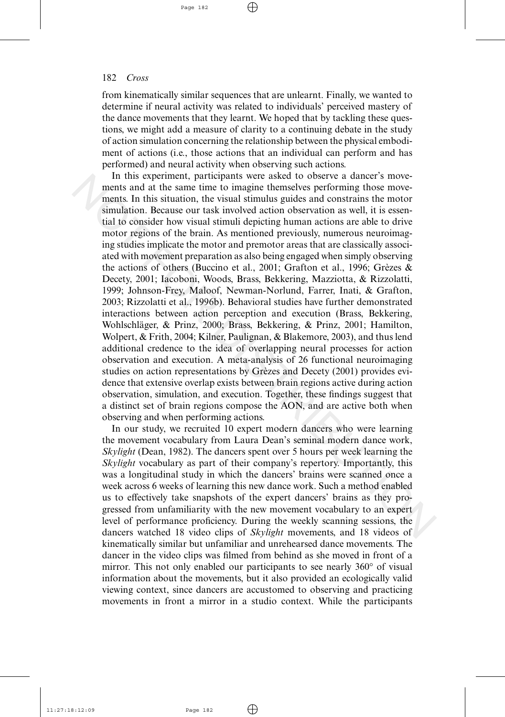#### 182 *Cross*

from kinematically similar sequences that are unlearnt. Finally, we wanted to determine if neural activity was related to individuals' perceived mastery of the dance movements that they learnt. We hoped that by tackling these questions, we might add a measure of clarity to a continuing debate in the study of action simulation concerning the relationship between the physical embodiment of actions (i.e., those actions that an individual can perform and has performed) and neural activity when observing such actions.

In this experiment, participants were asked to observe a dancer is move<br>units and at the same frime to imagine themselves performing those move-<br>ments .In this situation, the visual sitmulus guides and constrains the moto In this experiment, participants were asked to observe a dancer's movements and at the same time to imagine themselves performing those movements. In this situation, the visual stimulus guides and constrains the motor simulation. Because our task involved action observation as well, it is essential to consider how visual stimuli depicting human actions are able to drive motor regions of the brain. As mentioned previously, numerous neuroimaging studies implicate the motor and premotor areas that are classically associated with movement preparation as also being engaged when simply observing the actions of others (Buccino et al., 2001; Grafton et al., 1996; Grèzes & Decety, 2001; Iacoboni, Woods, Brass, Bekkering, Mazziotta, & Rizzolatti, 1999; Johnson-Frey, Maloof, Newman-Norlund, Farrer, Inati, & Grafton, 2003; Rizzolatti et al., 1996b). Behavioral studies have further demonstrated interactions between action perception and execution (Brass, Bekkering, Wohlschläger, & Prinz, 2000; Brass, Bekkering, & Prinz, 2001; Hamilton, Wolpert, & Frith, 2004; Kilner, Paulignan, & Blakemore, 2003), and thus lend additional credence to the idea of overlapping neural processes for action observation and execution. A meta-analysis of 26 functional neuroimaging studies on action representations by Grèzes and Decety (2001) provides evidence that extensive overlap exists between brain regions active during action observation, simulation, and execution. Together, these findings suggest that a distinct set of brain regions compose the AON, and are active both when observing and when performing actions.

In our study, we recruited 10 expert modern dancers who were learning the movement vocabulary from Laura Dean's seminal modern dance work, *Skylight* (Dean, 1982). The dancers spent over 5 hours per week learning the *Skylight* vocabulary as part of their company's repertory. Importantly, this was a longitudinal study in which the dancers' brains were scanned once a week across 6 weeks of learning this new dance work. Such a method enabled us to effectively take snapshots of the expert dancers' brains as they progressed from unfamiliarity with the new movement vocabulary to an expert level of performance proficiency. During the weekly scanning sessions, the dancers watched 18 video clips of *Skylight* movements, and 18 videos of kinematically similar but unfamiliar and unrehearsed dance movements. The dancer in the video clips was filmed from behind as she moved in front of a mirror. This not only enabled our participants to see nearly 360° of visual information about the movements, but it also provided an ecologically valid viewing context, since dancers are accustomed to observing and practicing movements in front a mirror in a studio context. While the participants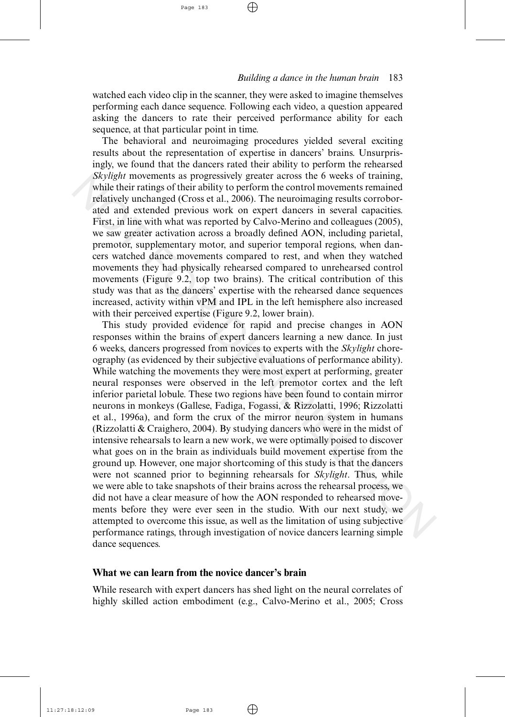watched each video clip in the scanner, they were asked to imagine themselves performing each dance sequence. Following each video, a question appeared asking the dancers to rate their perceived performance ability for each sequence, at that particular point in time.

 $\oplus$ 

Page 183

The behavioral and neuroimaging procedures yielded several exciting results about the representation of expertise in dancers' brains. Unsurprisingly, we found that the dancers rated their ability to perform the rehearsed *Skylight* movements as progressively greater across the 6 weeks of training, while their ratings of their ability to perform the control movements remained relatively unchanged (Cross et al., 2006). The neuroimaging results corroborated and extended previous work on expert dancers in several capacities. First, in line with what was reported by Calvo-Merino and colleagues (2005), we saw greater activation across a broadly defined AON, including parietal, premotor, supplementary motor, and superior temporal regions, when dancers watched dance movements compared to rest, and when they watched movements they had physically rehearsed compared to unrehearsed control movements (Figure 9.2, top two brains). The critical contribution of this study was that as the dancers' expertise with the rehearsed dance sequences increased, activity within vPM and IPL in the left hemisphere also increased with their perceived expertise (Figure 9.2, lower brain).

Styight movemulas as progressively greate across the 6 weeks of training, while their ratings of their ability to perform the control movements remained relatively unchanged (Cross et al., 2006). The neuroimaging results This study provided evidence for rapid and precise changes in AON responses within the brains of expert dancers learning a new dance. In just 6 weeks, dancers progressed from novices to experts with the *Skylight* choreography (as evidenced by their subjective evaluations of performance ability). While watching the movements they were most expert at performing, greater neural responses were observed in the left premotor cortex and the left inferior parietal lobule. These two regions have been found to contain mirror neurons in monkeys (Gallese, Fadiga, Fogassi, & Rizzolatti, 1996; Rizzolatti et al., 1996a), and form the crux of the mirror neuron system in humans (Rizzolatti  $\&$  Craighero, 2004). By studying dancers who were in the midst of intensive rehearsals to learn a new work, we were optimally poised to discover what goes on in the brain as individuals build movement expertise from the ground up. However, one major shortcoming of this study is that the dancers were not scanned prior to beginning rehearsals for *Skylight*. Thus, while we were able to take snapshots of their brains across the rehearsal process, we did not have a clear measure of how the AON responded to rehearsed movements before they were ever seen in the studio. With our next study, we attempted to overcome this issue, as well as the limitation of using subjective performance ratings, through investigation of novice dancers learning simple dance sequences.

#### **What we can learn from the novice dancer's brain**

While research with expert dancers has shed light on the neural correlates of highly skilled action embodiment (e.g., Calvo-Merino et al., 2005; Cross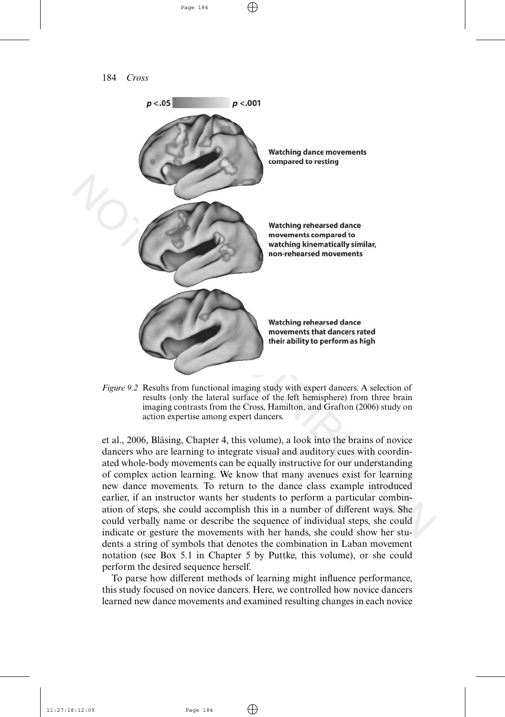$\oplus$ 



*Figure 9.2* Results from functional imaging study with expert dancers. A selection of results (only the lateral surface of the left hemisphere) from three brain imaging contrasts from the Cross, Hamilton, and Grafton (2006) study on action expertise among expert dancers.

et al., 2006, Bläsing, Chapter 4, this volume), a look into the brains of novice dancers who are learning to integrate visual and auditory cues with coordinated whole-body movements can be equally instructive for our understanding of complex action learning. We know that many avenues exist for learning new dance movements. To return to the dance class example introduced earlier, if an instructor wants her students to perform a particular combination of steps, she could accomplish this in a number of different ways. She could verbally name or describe the sequence of individual steps, she could indicate or gesture the movements with her hands, she could show her students a string of symbols that denotes the combination in Laban movement notation (see Box 5.1 in Chapter 5 by Puttke, this volume), or she could perform the desired sequence herself.

To parse how different methods of learning might influence performance, this study focused on novice dancers. Here, we controlled how novice dancers learned new dance movements and examined resulting changes in each novice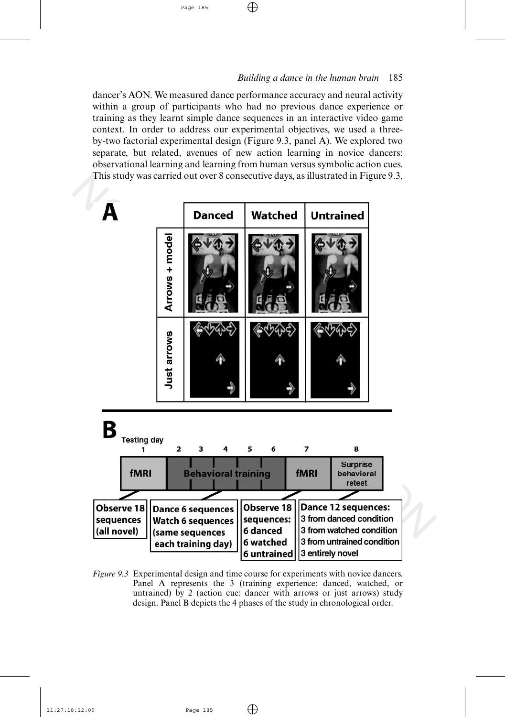$\bigoplus$ 

#### *Building a dance in the human brain* 185

dancer's AON. We measured dance performance accuracy and neural activity within a group of participants who had no previous dance experience or training as they learnt simple dance sequences in an interactive video game context. In order to address our experimental objectives, we used a threeby-two factorial experimental design (Figure 9.3, panel A). We explored two separate, but related, avenues of new action learning in novice dancers: observational learning and learning from human versus symbolic action cues. This study was carried out over 8 consecutive days, as illustrated in Figure 9.3,



*Figure 9.3* Experimental design and time course for experiments with novice dancers. Panel A represents the 3 (training experience: danced, watched, or untrained) by 2 (action cue: dancer with arrows or just arrows) study design. Panel B depicts the 4 phases of the study in chronological order.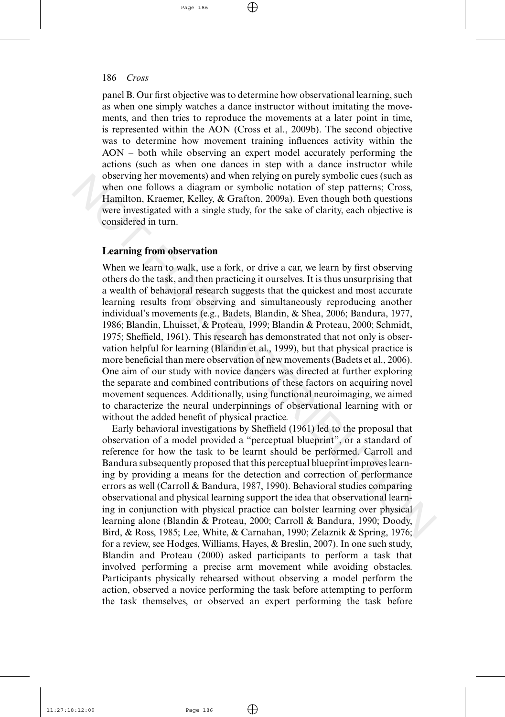#### 186 *Cross*

panel B. Our first objective was to determine how observational learning, such as when one simply watches a dance instructor without imitating the movements, and then tries to reproduce the movements at a later point in time, is represented within the AON (Cross et al., 2009b). The second objective was to determine how movement training influences activity within the AON – both while observing an expert model accurately performing the actions (such as when one dances in step with a dance instructor while observing her movements) and when relying on purely symbolic cues (such as when one follows a diagram or symbolic notation of step patterns; Cross, Hamilton, Kraemer, Kelley, & Grafton, 2009a). Even though both questions were investigated with a single study, for the sake of clarity, each objective is considered in turn.

#### **Learning from observation**

observing her movements) and when relying on purely symbolic cues (such as<br>when me follows a diagram or symbilic notation of step patterns; Cross,<br>Hamilton, Kraemer, Kelley, & Grafton, 2009a). Even though both questions<br>we When we learn to walk, use a fork, or drive a car, we learn by first observing others do the task, and then practicing it ourselves. It is thus unsurprising that a wealth of behavioral research suggests that the quickest and most accurate learning results from observing and simultaneously reproducing another individual's movements (e.g., Badets, Blandin, & Shea, 2006; Bandura, 1977, 1986; Blandin, Lhuisset, & Proteau, 1999; Blandin & Proteau, 2000; Schmidt, 1975; Sheffield, 1961). This research has demonstrated that not only is observation helpful for learning (Blandin et al., 1999), but that physical practice is more beneficial than mere observation of new movements (Badets et al., 2006). One aim of our study with novice dancers was directed at further exploring the separate and combined contributions of these factors on acquiring novel movement sequences. Additionally, using functional neuroimaging, we aimed to characterize the neural underpinnings of observational learning with or without the added benefit of physical practice.

Early behavioral investigations by Sheffield (1961) led to the proposal that observation of a model provided a "perceptual blueprint", or a standard of reference for how the task to be learnt should be performed. Carroll and Bandura subsequently proposed that this perceptual blueprint improves learning by providing a means for the detection and correction of performance errors as well (Carroll & Bandura, 1987, 1990). Behavioral studies comparing observational and physical learning support the idea that observational learning in conjunction with physical practice can bolster learning over physical learning alone (Blandin & Proteau, 2000; Carroll & Bandura, 1990; Doody, Bird, & Ross, 1985; Lee, White, & Carnahan, 1990; Zelaznik & Spring, 1976; for a review, see Hodges, Williams, Hayes, & Breslin, 2007). In one such study, Blandin and Proteau (2000) asked participants to perform a task that involved performing a precise arm movement while avoiding obstacles. Participants physically rehearsed without observing a model perform the action, observed a novice performing the task before attempting to perform the task themselves, or observed an expert performing the task before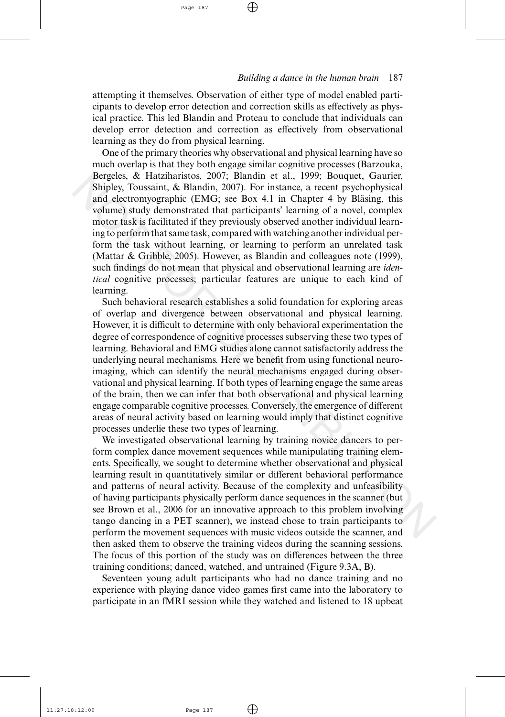#### *Building a dance in the human brain* 187

attempting it themselves. Observation of either type of model enabled participants to develop error detection and correction skills as effectively as physical practice. This led Blandin and Proteau to conclude that individuals can develop error detection and correction as effectively from observational learning as they do from physical learning.

One of the primary theories why observational and physical learning have so much overlap is that they both engage similar cognitive processes (Barzouka, Bergeles, & Hatziharistos, 2007; Blandin et al., 1999; Bouquet, Gaurier, Shipley, Toussaint, & Blandin, 2007). For instance, a recent psychophysical and electromyographic (EMG; see Box 4.1 in Chapter 4 by Bläsing, this volume) study demonstrated that participants' learning of a novel, complex motor task is facilitated if they previously observed another individual learning to perform that same task, compared with watching another individual perform the task without learning, or learning to perform an unrelated task (Mattar & Gribble, 2005). However, as Blandin and colleagues note (1999), such findings do not mean that physical and observational learning are *identical* cognitive processes; particular features are unique to each kind of learning.

Bergiels, & Hatarhanstos, 2007; Blandin et al., 1999; Bouquet, Gaurer, Highey, Toussaint, & Blandin, 2007). For instance, a recent psychophysical and electromyographic (EMG; see Box 4.1 in Chapter 4 by Blišing, this volum Such behavioral research establishes a solid foundation for exploring areas of overlap and divergence between observational and physical learning. However, it is difficult to determine with only behavioral experimentation the degree of correspondence of cognitive processes subserving these two types of learning. Behavioral and EMG studies alone cannot satisfactorily address the underlying neural mechanisms. Here we benefit from using functional neuroimaging, which can identify the neural mechanisms engaged during observational and physical learning. If both types of learning engage the same areas of the brain, then we can infer that both observational and physical learning engage comparable cognitive processes. Conversely, the emergence of different areas of neural activity based on learning would imply that distinct cognitive processes underlie these two types of learning.

We investigated observational learning by training novice dancers to perform complex dance movement sequences while manipulating training elements. Specifically, we sought to determine whether observational and physical learning result in quantitatively similar or different behavioral performance and patterns of neural activity. Because of the complexity and unfeasibility of having participants physically perform dance sequences in the scanner (but see Brown et al., 2006 for an innovative approach to this problem involving tango dancing in a PET scanner), we instead chose to train participants to perform the movement sequences with music videos outside the scanner, and then asked them to observe the training videos during the scanning sessions. The focus of this portion of the study was on differences between the three training conditions; danced, watched, and untrained (Figure 9.3A, B).

Seventeen young adult participants who had no dance training and no experience with playing dance video games first came into the laboratory to participate in an fMRI session while they watched and listened to 18 upbeat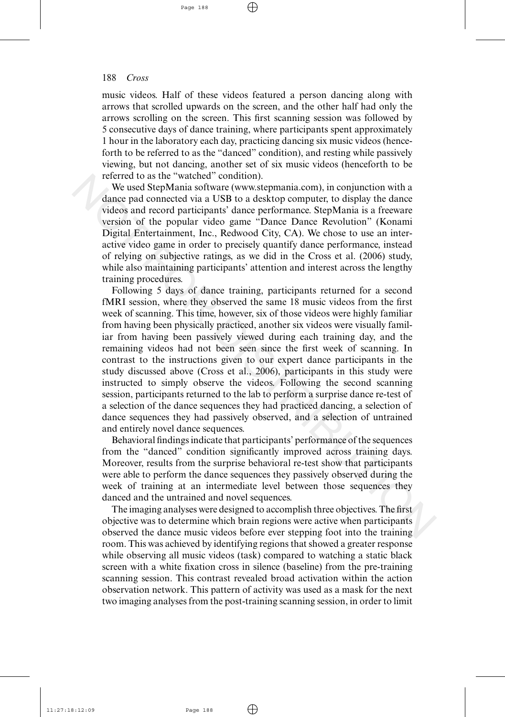#### 188 *Cross*

music videos. Half of these videos featured a person dancing along with arrows that scrolled upwards on the screen, and the other half had only the arrows scrolling on the screen. This first scanning session was followed by 5 consecutive days of dance training, where participants spent approximately 1 hour in the laboratory each day, practicing dancing six music videos (henceforth to be referred to as the "danced" condition), and resting while passively viewing, but not dancing, another set of six music videos (henceforth to be referred to as the "watched" condition).

We used StepMania software (www.stepmania.com), in conjunction with a dance pad connected via a USB to a desktop computer, to display the dance videos and record participants' dance performance. StepMania is a freeware version of the popular video game "Dance Dance Revolution" (Konami Digital Entertainment, Inc., Redwood City, CA). We chose to use an interactive video game in order to precisely quantify dance performance, instead of relying on subjective ratings, as we did in the Cross et al. (2006) study, while also maintaining participants' attention and interest across the lengthy training procedures.

reterate to as the "watched" condition,<br>We used StepMania software (www.stepmania.com), in conjunction with a<br>dance pad connected via a USB to a desktop computer, to display the dance<br>videos and record participantis' dance Following 5 days of dance training, participants returned for a second fMRI session, where they observed the same 18 music videos from the first week of scanning. This time, however, six of those videos were highly familiar from having been physically practiced, another six videos were visually familiar from having been passively viewed during each training day, and the remaining videos had not been seen since the first week of scanning. In contrast to the instructions given to our expert dance participants in the study discussed above (Cross et al., 2006), participants in this study were instructed to simply observe the videos. Following the second scanning session, participants returned to the lab to perform a surprise dance re-test of a selection of the dance sequences they had practiced dancing, a selection of dance sequences they had passively observed, and a selection of untrained and entirely novel dance sequences.

Behavioral findings indicate that participants' performance of the sequences from the "danced" condition significantly improved across training days. Moreover, results from the surprise behavioral re-test show that participants were able to perform the dance sequences they passively observed during the week of training at an intermediate level between those sequences they danced and the untrained and novel sequences.

The imaging analyses were designed to accomplish three objectives. The first objective was to determine which brain regions were active when participants observed the dance music videos before ever stepping foot into the training room. This was achieved by identifying regions that showed a greater response while observing all music videos (task) compared to watching a static black screen with a white fixation cross in silence (baseline) from the pre-training scanning session. This contrast revealed broad activation within the action observation network. This pattern of activity was used as a mask for the next two imaging analyses from the post-training scanning session, in order to limit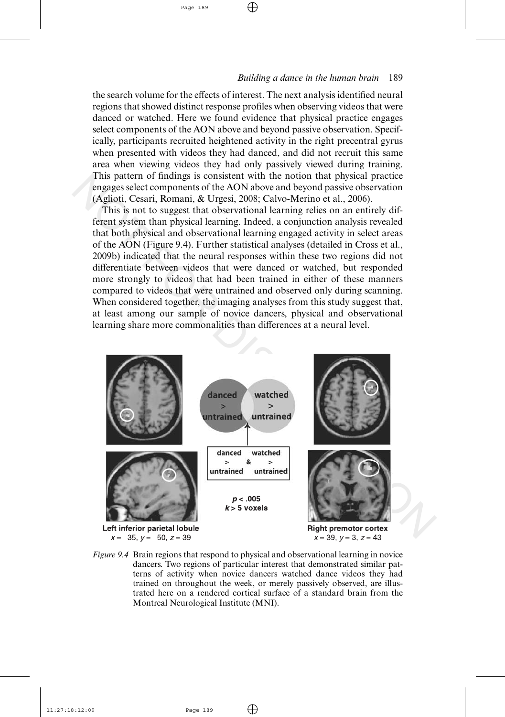the search volume for the effects of interest. The next analysis identified neural regions that showed distinct response profiles when observing videos that were danced or watched. Here we found evidence that physical practice engages select components of the AON above and beyond passive observation. Specifically, participants recruited heightened activity in the right precentral gyrus when presented with videos they had danced, and did not recruit this same area when viewing videos they had only passively viewed during training. This pattern of findings is consistent with the notion that physical practice engages select components of the AON above and beyond passive observation (Aglioti, Cesari, Romani, & Urgesi, 2008; Calvo-Merino et al., 2006).

This is not to suggest that observational learning relies on an entirely different system than physical learning. Indeed, a conjunction analysis revealed that both physical and observational learning engaged activity in select areas of the AON (Figure 9.4). Further statistical analyses (detailed in Cross et al., 2009b) indicated that the neural responses within these two regions did not differentiate between videos that were danced or watched, but responded more strongly to videos that had been trained in either of these manners compared to videos that were untrained and observed only during scanning. When considered together, the imaging analyses from this study suggest that, at least among our sample of novice dancers, physical and observational learning share more commonalities than differences at a neural level.



*Figure 9.4* Brain regions that respond to physical and observational learning in novice dancers. Two regions of particular interest that demonstrated similar patterns of activity when novice dancers watched dance videos they had trained on throughout the week, or merely passively observed, are illustrated here on a rendered cortical surface of a standard brain from the Montreal Neurological Institute (MNI).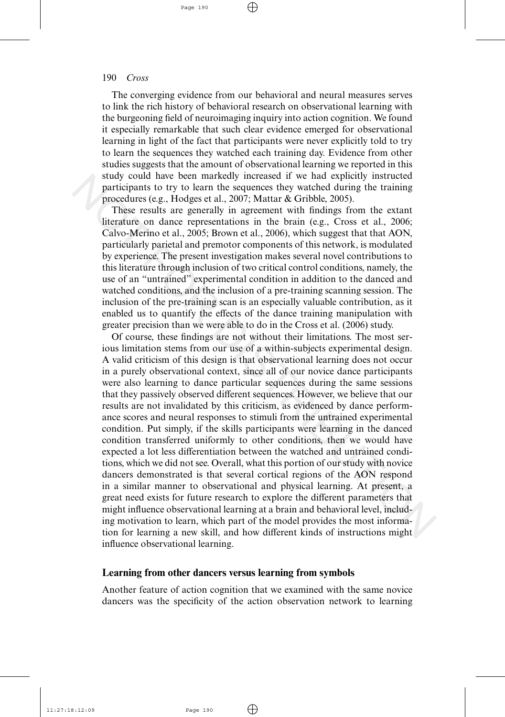#### 190 *Cross*

The converging evidence from our behavioral and neural measures serves to link the rich history of behavioral research on observational learning with the burgeoning field of neuroimaging inquiry into action cognition. We found it especially remarkable that such clear evidence emerged for observational learning in light of the fact that participants were never explicitly told to try to learn the sequences they watched each training day. Evidence from other studies suggests that the amount of observational learning we reported in this study could have been markedly increased if we had explicitly instructed participants to try to learn the sequences they watched during the training procedures (e.g., Hodges et al., 2007; Mattar & Gribble, 2005).

These results are generally in agreement with findings from the extant literature on dance representations in the brain (e.g., Cross et al., 2006; Calvo-Merino et al., 2005; Brown et al., 2006), which suggest that that AON, particularly parietal and premotor components of this network, is modulated by experience. The present investigation makes several novel contributions to this literature through inclusion of two critical control conditions, namely, the use of an "untrained" experimental condition in addition to the danced and watched conditions, and the inclusion of a pre-training scanning session. The inclusion of the pre-training scan is an especially valuable contribution, as it enabled us to quantify the effects of the dance training manipulation with greater precision than we were able to do in the Cross et al. (2006) study.

study could have been markedly increased 1 we had explicitly instructed<br>participants to try to learn the sequences they watched during the training<br>procedures (e.g., Hodges et al., 2007; Mattar & Gribble, 2005).<br>These resu Of course, these findings are not without their limitations. The most serious limitation stems from our use of a within-subjects experimental design. A valid criticism of this design is that observational learning does not occur in a purely observational context, since all of our novice dance participants were also learning to dance particular sequences during the same sessions that they passively observed different sequences. However, we believe that our results are not invalidated by this criticism, as evidenced by dance performance scores and neural responses to stimuli from the untrained experimental condition. Put simply, if the skills participants were learning in the danced condition transferred uniformly to other conditions, then we would have expected a lot less differentiation between the watched and untrained conditions, which we did not see. Overall, what this portion of our study with novice dancers demonstrated is that several cortical regions of the AON respond in a similar manner to observational and physical learning. At present, a great need exists for future research to explore the different parameters that might influence observational learning at a brain and behavioral level, including motivation to learn, which part of the model provides the most information for learning a new skill, and how different kinds of instructions might influence observational learning.

#### **Learning from other dancers versus learning from symbols**

Another feature of action cognition that we examined with the same novice dancers was the specificity of the action observation network to learning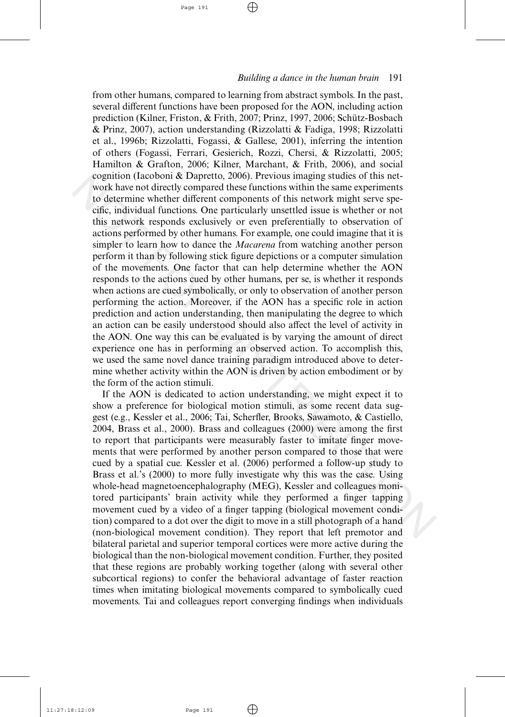$$
\oplus
$$

#### *Building a dance in the human brain* 191

cognition (lacoboni & Dapretto, 2006). Prevous magne studes of this net.<br>
work have not directly compared these functions within the same experiments<br>
to determine whether different components of this network might serve s from other humans, compared to learning from abstract symbols. In the past, several different functions have been proposed for the AON, including action prediction (Kilner, Friston, & Frith, 2007; Prinz, 1997, 2006; Schütz-Bosbach & Prinz, 2007), action understanding (Rizzolatti & Fadiga, 1998; Rizzolatti et al., 1996b; Rizzolatti, Fogassi, & Gallese, 2001), inferring the intention of others (Fogassi, Ferrari, Gesierich, Rozzi, Chersi, & Rizzolatti, 2005; Hamilton & Grafton, 2006; Kilner, Marchant, & Frith, 2006), and social cognition (Iacoboni & Dapretto, 2006). Previous imaging studies of this network have not directly compared these functions within the same experiments to determine whether different components of this network might serve specific, individual functions. One particularly unsettled issue is whether or not this network responds exclusively or even preferentially to observation of actions performed by other humans. For example, one could imagine that it is simpler to learn how to dance the *Macarena* from watching another person perform it than by following stick figure depictions or a computer simulation of the movements. One factor that can help determine whether the AON responds to the actions cued by other humans, per se, is whether it responds when actions are cued symbolically, or only to observation of another person performing the action. Moreover, if the AON has a specific role in action prediction and action understanding, then manipulating the degree to which an action can be easily understood should also affect the level of activity in the AON. One way this can be evaluated is by varying the amount of direct experience one has in performing an observed action. To accomplish this, we used the same novel dance training paradigm introduced above to determine whether activity within the AON is driven by action embodiment or by the form of the action stimuli.

If the AON is dedicated to action understanding, we might expect it to show a preference for biological motion stimuli, as some recent data suggest (e.g., Kessler et al., 2006; Tai, Scherfler, Brooks, Sawamoto, & Castiello, 2004, Brass et al., 2000). Brass and colleagues (2000) were among the first to report that participants were measurably faster to imitate finger movements that were performed by another person compared to those that were cued by a spatial cue. Kessler et al. (2006) performed a follow-up study to Brass et al.'s (2000) to more fully investigate why this was the case. Using whole-head magnetoencephalography (MEG), Kessler and colleagues monitored participants' brain activity while they performed a finger tapping movement cued by a video of a finger tapping (biological movement condition) compared to a dot over the digit to move in a still photograph of a hand (non-biological movement condition). They report that left premotor and bilateral parietal and superior temporal cortices were more active during the biological than the non-biological movement condition. Further, they posited that these regions are probably working together (along with several other subcortical regions) to confer the behavioral advantage of faster reaction times when imitating biological movements compared to symbolically cued movements. Tai and colleagues report converging findings when individuals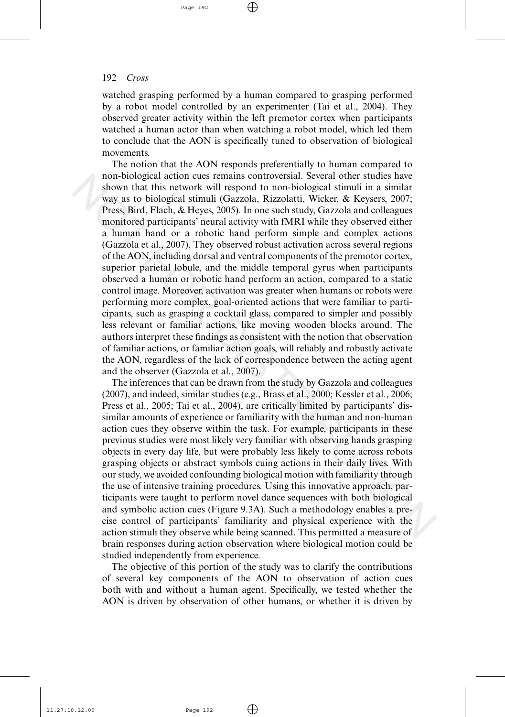#### 192 *Cross*

watched grasping performed by a human compared to grasping performed by a robot model controlled by an experimenter (Tai et al., 2004). They observed greater activity within the left premotor cortex when participants watched a human actor than when watching a robot model, which led them to conclude that the AON is specifically tuned to observation of biological movements.

non-biological action cus remains controversial. Several other studes have<br>non-biological atimult in a similar<br>shown that this network will respond to non-biological simult in a similar<br>vay as to biological simulti (Gazzol The notion that the AON responds preferentially to human compared to non-biological action cues remains controversial. Several other studies have shown that this network will respond to non-biological stimuli in a similar way as to biological stimuli (Gazzola, Rizzolatti, Wicker, & Keysers, 2007; Press, Bird, Flach, & Heyes, 2005). In one such study, Gazzola and colleagues monitored participants' neural activity with fMRI while they observed either a human hand or a robotic hand perform simple and complex actions (Gazzola et al., 2007). They observed robust activation across several regions of the AON, including dorsal and ventral components of the premotor cortex, superior parietal lobule, and the middle temporal gyrus when participants observed a human or robotic hand perform an action, compared to a static control image. Moreover, activation was greater when humans or robots were performing more complex, goal-oriented actions that were familiar to participants, such as grasping a cocktail glass, compared to simpler and possibly less relevant or familiar actions, like moving wooden blocks around. The authors interpret these findings as consistent with the notion that observation of familiar actions, or familiar action goals, will reliably and robustly activate the AON, regardless of the lack of correspondence between the acting agent and the observer (Gazzola et al., 2007).

The inferences that can be drawn from the study by Gazzola and colleagues (2007), and indeed, similar studies (e.g., Brass et al., 2000; Kessler et al., 2006; Press et al., 2005; Tai et al., 2004), are critically limited by participants' dissimilar amounts of experience or familiarity with the human and non-human action cues they observe within the task. For example, participants in these previous studies were most likely very familiar with observing hands grasping objects in every day life, but were probably less likely to come across robots grasping objects or abstract symbols cuing actions in their daily lives. With our study, we avoided confounding biological motion with familiarity through the use of intensive training procedures. Using this innovative approach, participants were taught to perform novel dance sequences with both biological and symbolic action cues (Figure 9.3A). Such a methodology enables a precise control of participants' familiarity and physical experience with the action stimuli they observe while being scanned. This permitted a measure of brain responses during action observation where biological motion could be studied independently from experience.

The objective of this portion of the study was to clarify the contributions of several key components of the AON to observation of action cues both with and without a human agent. Specifically, we tested whether the AON is driven by observation of other humans, or whether it is driven by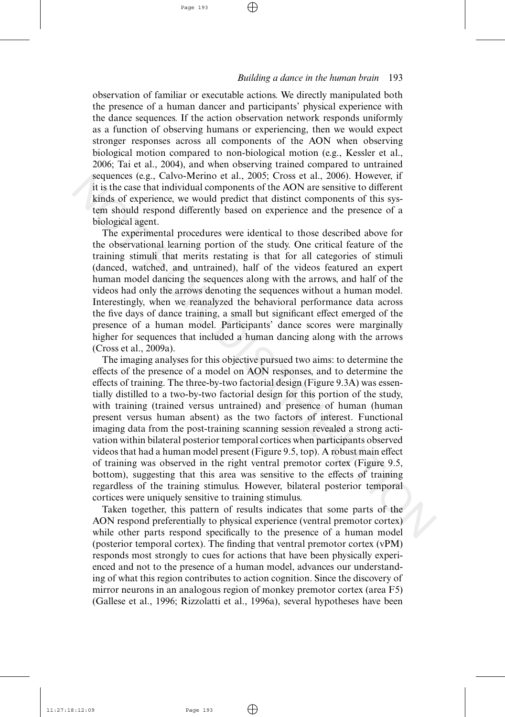observation of familiar or executable actions. We directly manipulated both the presence of a human dancer and participants' physical experience with the dance sequences. If the action observation network responds uniformly as a function of observing humans or experiencing, then we would expect stronger responses across all components of the AON when observing biological motion compared to non-biological motion (e.g., Kessler et al., 2006; Tai et al., 2004), and when observing trained compared to untrained sequences (e.g., Calvo-Merino et al., 2005; Cross et al., 2006). However, if it is the case that individual components of the AON are sensitive to different kinds of experience, we would predict that distinct components of this system should respond differently based on experience and the presence of a biological agent.

The experimental procedures were identical to those described above for the observational learning portion of the study. One critical feature of the training stimuli that merits restating is that for all categories of stimuli (danced, watched, and untrained), half of the videos featured an expert human model dancing the sequences along with the arrows, and half of the videos had only the arrows denoting the sequences without a human model. Interestingly, when we reanalyzed the behavioral performance data across the five days of dance training, a small but significant effect emerged of the presence of a human model. Participants' dance scores were marginally higher for sequences that included a human dancing along with the arrows (Cross et al., 2009a).

sequences (e.g., Calvo-Mermo et al., 2005; Cross et al., 2006; Israels at specifical components of the AON are sensitive to different kinds of experience, we would predict that distinct components of this system should res The imaging analyses for this objective pursued two aims: to determine the effects of the presence of a model on AON responses, and to determine the effects of training. The three-by-two factorial design (Figure 9.3A) was essentially distilled to a two-by-two factorial design for this portion of the study, with training (trained versus untrained) and presence of human (human present versus human absent) as the two factors of interest. Functional imaging data from the post-training scanning session revealed a strong activation within bilateral posterior temporal cortices when participants observed videos that had a human model present (Figure 9.5, top). A robust main effect of training was observed in the right ventral premotor cortex (Figure 9.5, bottom), suggesting that this area was sensitive to the effects of training regardless of the training stimulus. However, bilateral posterior temporal cortices were uniquely sensitive to training stimulus.

Taken together, this pattern of results indicates that some parts of the AON respond preferentially to physical experience (ventral premotor cortex) while other parts respond specifically to the presence of a human model (posterior temporal cortex). The finding that ventral premotor cortex (vPM) responds most strongly to cues for actions that have been physically experienced and not to the presence of a human model, advances our understanding of what this region contributes to action cognition. Since the discovery of mirror neurons in an analogous region of monkey premotor cortex (area F5) (Gallese et al., 1996; Rizzolatti et al., 1996a), several hypotheses have been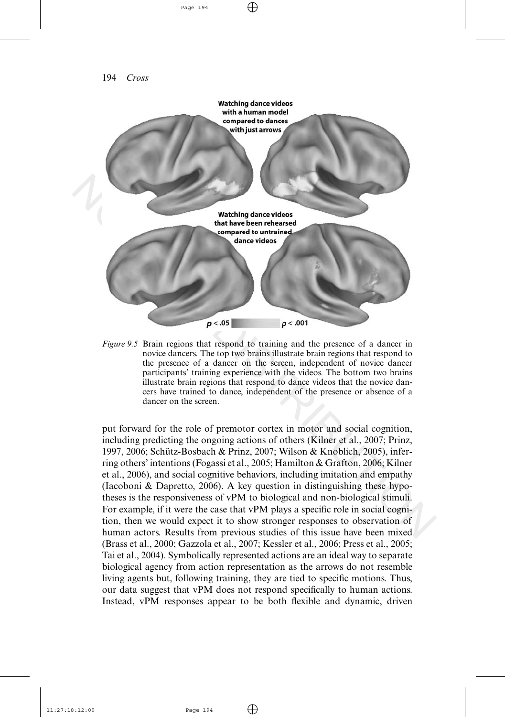

Page 194

*Figure 9.5* Brain regions that respond to training and the presence of a dancer in novice dancers. The top two brains illustrate brain regions that respond to the presence of a dancer on the screen, independent of novice dancer participants' training experience with the videos. The bottom two brains illustrate brain regions that respond to dance videos that the novice dancers have trained to dance, independent of the presence or absence of a dancer on the screen.

put forward for the role of premotor cortex in motor and social cognition, including predicting the ongoing actions of others (Kilner et al., 2007; Prinz, 1997, 2006; Schütz-Bosbach & Prinz, 2007; Wilson & Knoblich, 2005), inferring others' intentions (Fogassi et al., 2005; Hamilton & Grafton, 2006; Kilner et al., 2006), and social cognitive behaviors, including imitation and empathy (Iacoboni & Dapretto, 2006). A key question in distinguishing these hypotheses is the responsiveness of vPM to biological and non-biological stimuli. For example, if it were the case that vPM plays a specific role in social cognition, then we would expect it to show stronger responses to observation of human actors. Results from previous studies of this issue have been mixed (Brass et al., 2000; Gazzola et al., 2007; Kessler et al., 2006; Press et al., 2005; Tai et al., 2004). Symbolically represented actions are an ideal way to separate biological agency from action representation as the arrows do not resemble living agents but, following training, they are tied to specific motions. Thus, our data suggest that vPM does not respond specifically to human actions. Instead, vPM responses appear to be both flexible and dynamic, driven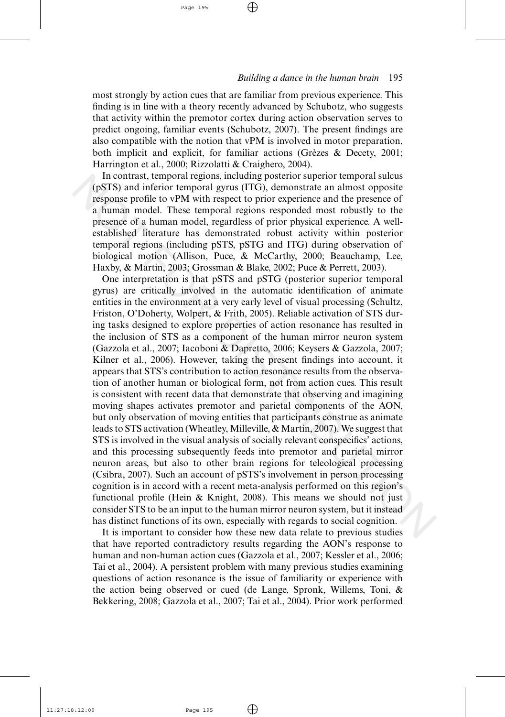most strongly by action cues that are familiar from previous experience. This finding is in line with a theory recently advanced by Schubotz, who suggests that activity within the premotor cortex during action observation serves to predict ongoing, familiar events (Schubotz, 2007). The present findings are also compatible with the notion that vPM is involved in motor preparation, both implicit and explicit, for familiar actions (Grèzes & Decety, 2001; Harrington et al., 2000; Rizzolatti & Craighero, 2004).

In contrast, temporal regions, including posterior superior temporal sulcus (pSTS) and inferior temporal gyrus (ITG), demonstrate an almost opposite response profile to vPM with respect to prior experience and the presence of a human model. These temporal regions responded most robustly to the presence of a human model, regardless of prior physical experience. A wellestablished literature has demonstrated robust activity within posterior temporal regions (including pSTS, pSTG and ITG) during observation of biological motion (Allison, Puce, & McCarthy, 2000; Beauchamp, Lee, Haxby, & Martin, 2003; Grossman & Blake, 2002; Puce & Perrett, 2003).

In contrast, temporal reguons, including posterior supercent temporal suites<br>(pSTS) and inferior temporal gyrus (ITG), demonstrate an almost opposite<br>response profile to vPM with respect to prior experience and the presenc One interpretation is that pSTS and pSTG (posterior superior temporal gyrus) are critically involved in the automatic identification of animate entities in the environment at a very early level of visual processing (Schultz, Friston, O'Doherty, Wolpert, & Frith, 2005). Reliable activation of STS during tasks designed to explore properties of action resonance has resulted in the inclusion of STS as a component of the human mirror neuron system (Gazzola et al., 2007; Iacoboni & Dapretto, 2006; Keysers & Gazzola, 2007; Kilner et al., 2006). However, taking the present findings into account, it appears that STS's contribution to action resonance results from the observation of another human or biological form, not from action cues. This result is consistent with recent data that demonstrate that observing and imagining moving shapes activates premotor and parietal components of the AON, but only observation of moving entities that participants construe as animate leads to STS activation (Wheatley, Milleville, & Martin, 2007). We suggest that STS is involved in the visual analysis of socially relevant conspecifics' actions, and this processing subsequently feeds into premotor and parietal mirror neuron areas, but also to other brain regions for teleological processing (Csibra, 2007). Such an account of pSTS's involvement in person processing cognition is in accord with a recent meta-analysis performed on this region's functional profile (Hein & Knight, 2008). This means we should not just consider STS to be an input to the human mirror neuron system, but it instead has distinct functions of its own, especially with regards to social cognition.

It is important to consider how these new data relate to previous studies that have reported contradictory results regarding the AON's response to human and non-human action cues (Gazzola et al., 2007; Kessler et al., 2006; Tai et al., 2004). A persistent problem with many previous studies examining questions of action resonance is the issue of familiarity or experience with the action being observed or cued (de Lange, Spronk, Willems, Toni, & Bekkering, 2008; Gazzola et al., 2007; Tai et al., 2004). Prior work performed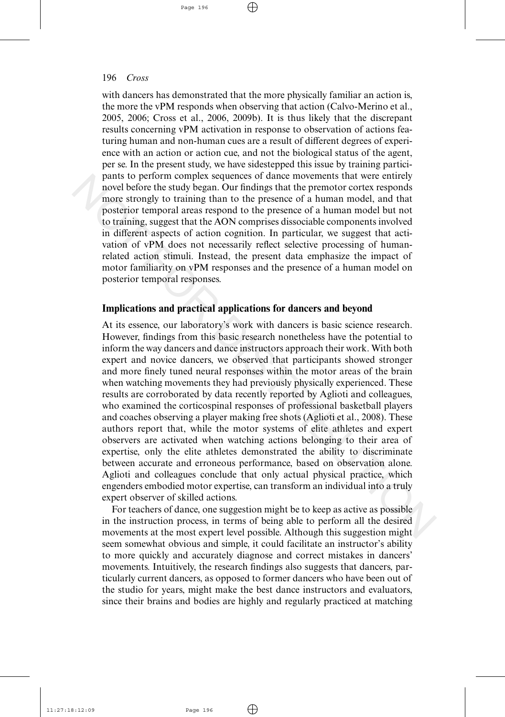#### 196 *Cross*

with dancers has demonstrated that the more physically familiar an action is, the more the vPM responds when observing that action (Calvo-Merino et al., 2005, 2006; Cross et al., 2006, 2009b). It is thus likely that the discrepant results concerning vPM activation in response to observation of actions featuring human and non-human cues are a result of different degrees of experience with an action or action cue, and not the biological status of the agent, per se. In the present study, we have sidestepped this issue by training participants to perform complex sequences of dance movements that were entirely novel before the study began. Our findings that the premotor cortex responds more strongly to training than to the presence of a human model, and that posterior temporal areas respond to the presence of a human model but not to training, suggest that the AON comprises dissociable components involved in different aspects of action cognition. In particular, we suggest that activation of vPM does not necessarily reflect selective processing of humanrelated action stimuli. Instead, the present data emphasize the impact of motor familiarity on vPM responses and the presence of a human model on posterior temporal responses.

# **Implications and practical applications for dancers and beyond**

pants to perform complets sequences of dance movements that were entirely<br>note before the study began. Our findings that the premotor cortex responds<br>more strongly to training than to the presence of a human model, and tha At its essence, our laboratory's work with dancers is basic science research. However, findings from this basic research nonetheless have the potential to inform the way dancers and dance instructors approach their work. With both expert and novice dancers, we observed that participants showed stronger and more finely tuned neural responses within the motor areas of the brain when watching movements they had previously physically experienced. These results are corroborated by data recently reported by Aglioti and colleagues, who examined the corticospinal responses of professional basketball players and coaches observing a player making free shots (Aglioti et al., 2008). These authors report that, while the motor systems of elite athletes and expert observers are activated when watching actions belonging to their area of expertise, only the elite athletes demonstrated the ability to discriminate between accurate and erroneous performance, based on observation alone. Aglioti and colleagues conclude that only actual physical practice, which engenders embodied motor expertise, can transform an individual into a truly expert observer of skilled actions.

For teachers of dance, one suggestion might be to keep as active as possible in the instruction process, in terms of being able to perform all the desired movements at the most expert level possible. Although this suggestion might seem somewhat obvious and simple, it could facilitate an instructor's ability to more quickly and accurately diagnose and correct mistakes in dancers' movements. Intuitively, the research findings also suggests that dancers, particularly current dancers, as opposed to former dancers who have been out of the studio for years, might make the best dance instructors and evaluators, since their brains and bodies are highly and regularly practiced at matching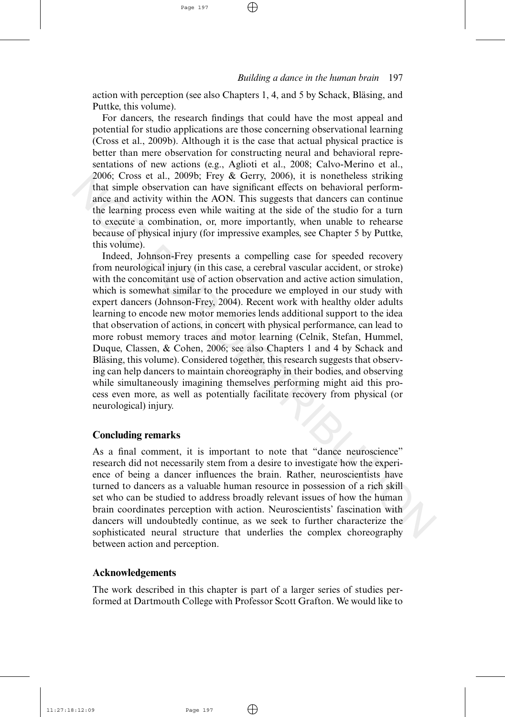action with perception (see also Chapters 1, 4, and 5 by Schack, Bläsing, and Puttke, this volume).

 $\oplus$ 

Page 197

For dancers, the research findings that could have the most appeal and potential for studio applications are those concerning observational learning (Cross et al., 2009b). Although it is the case that actual physical practice is better than mere observation for constructing neural and behavioral representations of new actions (e.g., Aglioti et al., 2008; Calvo-Merino et al., 2006; Cross et al., 2009b; Frey & Gerry, 2006), it is nonetheless striking that simple observation can have significant effects on behavioral performance and activity within the AON. This suggests that dancers can continue the learning process even while waiting at the side of the studio for a turn to execute a combination, or, more importantly, when unable to rehearse because of physical injury (for impressive examples, see Chapter 5 by Puttke, this volume).

2006; Cross et al., 2009b), Frey & Gerry, 2006), It is nonetheless straking<br>that simple observation can have significant effects on behavioral perform-<br>ance and activity within the AON. This suggests that damers can contin Indeed, Johnson-Frey presents a compelling case for speeded recovery from neurological injury (in this case, a cerebral vascular accident, or stroke) with the concomitant use of action observation and active action simulation, which is somewhat similar to the procedure we employed in our study with expert dancers (Johnson-Frey, 2004). Recent work with healthy older adults learning to encode new motor memories lends additional support to the idea that observation of actions, in concert with physical performance, can lead to more robust memory traces and motor learning (Celnik, Stefan, Hummel, Duque, Classen, & Cohen, 2006; see also Chapters 1 and 4 by Schack and Bläsing, this volume). Considered together, this research suggests that observing can help dancers to maintain choreography in their bodies, and observing while simultaneously imagining themselves performing might aid this process even more, as well as potentially facilitate recovery from physical (or neurological) injury.

#### **Concluding remarks**

As a final comment, it is important to note that "dance neuroscience" research did not necessarily stem from a desire to investigate how the experience of being a dancer influences the brain. Rather, neuroscientists have turned to dancers as a valuable human resource in possession of a rich skill set who can be studied to address broadly relevant issues of how the human brain coordinates perception with action. Neuroscientists' fascination with dancers will undoubtedly continue, as we seek to further characterize the sophisticated neural structure that underlies the complex choreography between action and perception.

#### **Acknowledgements**

The work described in this chapter is part of a larger series of studies performed at Dartmouth College with Professor Scott Grafton. We would like to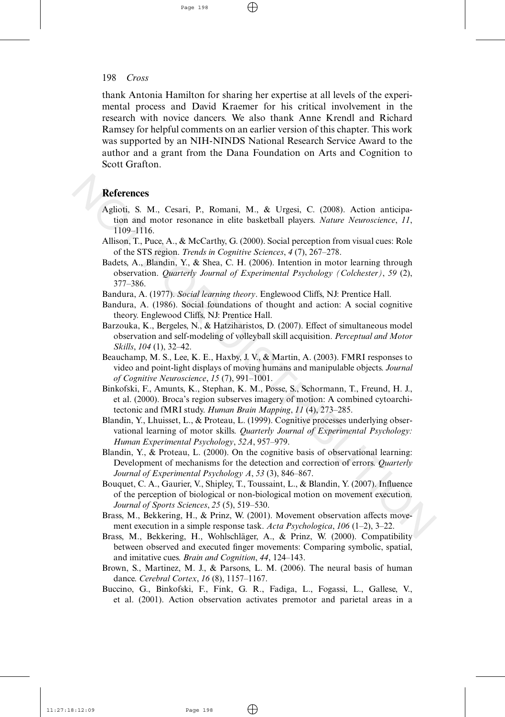#### 198 *Cross*

thank Antonia Hamilton for sharing her expertise at all levels of the experimental process and David Kraemer for his critical involvement in the research with novice dancers. We also thank Anne Krendl and Richard Ramsey for helpful comments on an earlier version of this chapter. This work was supported by an NIH-NINDS National Research Service Award to the author and a grant from the Dana Foundation on Arts and Cognition to Scott Grafton.

# **References**

- Aglioti, S. M., Cesari, P., Romani, M., & Urgesi, C. (2008). Action anticipation and motor resonance in elite basketball players. *Nature Neuroscience*, *11*, 1109–1116.
- Allison, T., Puce, A., & McCarthy, G. (2000). Social perception from visual cues: Role of the STS region. *Trends in Cognitive Sciences*, *4* (7), 267–278.
- Badets, A., Blandin, Y., & Shea, C. H. (2006). Intention in motor learning through observation. *Quarterly Journal of Experimental Psychology (Colchester)*, *59* (2), 377–386.
- Bandura, A. (1977). *Social learning theory*. Englewood Cliffs, NJ: Prentice Hall.
- Bandura, A. (1986). Social foundations of thought and action: A social cognitive theory. Englewood Cliffs, NJ: Prentice Hall.
- Barzouka, K., Bergeles, N., & Hatziharistos, D. (2007). Effect of simultaneous model observation and self-modeling of volleyball skill acquisition. *Perceptual and Motor Skills*, *104* (1), 32–42.
- Beauchamp, M. S., Lee, K. E., Haxby, J. V., & Martin, A. (2003). FMRI responses to video and point-light displays of moving humans and manipulable objects. *Journal of Cognitive Neuroscience*, *15* (7), 991–1001.
- Binkofski, F., Amunts, K., Stephan, K. M., Posse, S., Schormann, T., Freund, H. J., et al. (2000). Broca's region subserves imagery of motion: A combined cytoarchitectonic and fMRI study. *Human Brain Mapping*, *11* (4), 273–285.
- Blandin, Y., Lhuisset, L., & Proteau, L. (1999). Cognitive processes underlying observational learning of motor skills. *Quarterly Journal of Experimental Psychology: Human Experimental Psychology*, *52A*, 957–979.
- Blandin, Y., & Proteau, L. (2000). On the cognitive basis of observational learning: Development of mechanisms for the detection and correction of errors. *Quarterly Journal of Experimental Psychology A*, *53* (3), 846–867.
- **References**<br>Agliodi, S. M., Cesari, P., Romani, M., & Urgesi, C. (2008). Action anticipa-<br>tion and motor resonance in elite basketball players. *Nature Neuroscience, 11*,<br>1109-1116.<br>Alison, T., Puec, A., & McCarthy, G. ( Bouquet, C. A., Gaurier, V., Shipley, T., Toussaint, L., & Blandin, Y. (2007). Influence of the perception of biological or non-biological motion on movement execution. *Journal of Sports Sciences*, *25* (5), 519–530.
	- Brass, M., Bekkering, H., & Prinz, W. (2001). Movement observation affects movement execution in a simple response task. *Acta Psychologica*, *106* (1–2), 3–22.
	- Brass, M., Bekkering, H., Wohlschläger, A., & Prinz, W. (2000). Compatibility between observed and executed finger movements: Comparing symbolic, spatial, and imitative cues. *Brain and Cognition*, *44*, 124–143.
	- Brown, S., Martinez, M. J., & Parsons, L. M. (2006). The neural basis of human dance. *Cerebral Cortex*, *16* (8), 1157–1167.
	- Buccino, G., Binkofski, F., Fink, G. R., Fadiga, L., Fogassi, L., Gallese, V., et al. (2001). Action observation activates premotor and parietal areas in a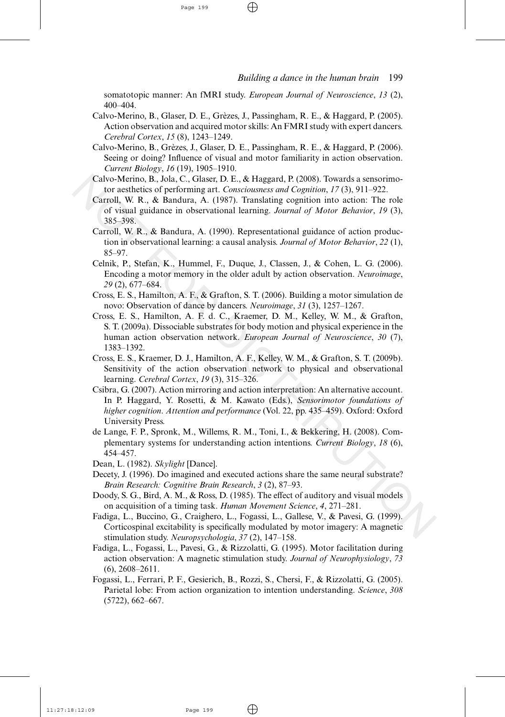somatotopic manner: An fMRI study. *European Journal of Neuroscience*, *13* (2), 400–404.

 $\oplus$ 

Page 199

- Calvo-Merino, B., Glaser, D. E., Grèzes, J., Passingham, R. E., & Haggard, P. (2005). Action observation and acquired motor skills: An FMRI study with expert dancers. *Cerebral Cortex*, *15* (8), 1243–1249.
- Calvo-Merino, B., Grèzes, J., Glaser, D. E., Passingham, R. E., & Haggard, P. (2006). Seeing or doing? Influence of visual and motor familiarity in action observation. *Current Biology*, *16* (19), 1905–1910.
- Calvo-Merino, B., Jola, C., Glaser, D. E., & Haggard, P. (2008). Towards a sensorimotor aesthetics of performing art. *Consciousness and Cognition*, *17* (3), 911–922.
- Carroll, W. R., & Bandura, A. (1987). Translating cognition into action: The role of visual guidance in observational learning. *Journal of Motor Behavior*, *19* (3), 385–398.
- Carroll, W. R., & Bandura, A. (1990). Representational guidance of action production in observational learning: a causal analysis. *Journal of Motor Behavior*, *22* (1), 85–97.
- Celnik, P., Stefan, K., Hummel, F., Duque, J., Classen, J., & Cohen, L. G. (2006). Encoding a motor memory in the older adult by action observation. *Neuroimage*, *29* (2), 677–684.
- Cross, E. S., Hamilton, A. F., & Grafton, S. T. (2006). Building a motor simulation de novo: Observation of dance by dancers. *Neuroimage*, *31* (3), 1257–1267.
- Cross, E. S., Hamilton, A. F. d. C., Kraemer, D. M., Kelley, W. M., & Grafton, S. T. (2009a). Dissociable substrates for body motion and physical experience in the human action observation network. *European Journal of Neuroscience*, *30* (7), 1383–1392.
- Cross, E. S., Kraemer, D. J., Hamilton, A. F., Kelley, W. M., & Grafton, S. T. (2009b). Sensitivity of the action observation network to physical and observational learning. *Cerebral Cortex*, *19* (3), 315–326.
- Calvo Merino, B., Jola, C., Giaser, D. E., & Haggard, P. (2008). Towards assnessime<br>for a sature since the state and Consciousness and Cognition, 17 (3), 911–922.<br>Carroll, W. R., & Bandura, A. (1987). Translating cognitio Csibra, G. (2007). Action mirroring and action interpretation: An alternative account. In P. Haggard, Y. Rosetti, & M. Kawato (Eds.), *Sensorimotor foundations of higher cognition*. *Attention and performance* (Vol. 22, pp. 435–459). Oxford: Oxford University Press.
	- de Lange, F. P., Spronk, M., Willems, R. M., Toni, I., & Bekkering, H. (2008). Complementary systems for understanding action intentions. *Current Biology*, *18* (6), 454–457.
	- Dean, L. (1982). *Skylight* [Dance].
	- Decety, J. (1996). Do imagined and executed actions share the same neural substrate? *Brain Research: Cognitive Brain Research*, *3* (2), 87–93.
	- Doody, S. G., Bird, A. M., & Ross, D. (1985). The effect of auditory and visual models on acquisition of a timing task. *Human Movement Science*, *4*, 271–281.
	- Fadiga, L., Buccino, G., Craighero, L., Fogassi, L., Gallese, V., & Pavesi, G. (1999). Corticospinal excitability is specifically modulated by motor imagery: A magnetic stimulation study. *Neuropsychologia*, *37* (2), 147–158.
	- Fadiga, L., Fogassi, L., Pavesi, G., & Rizzolatti, G. (1995). Motor facilitation during action observation: A magnetic stimulation study. *Journal of Neurophysiology*, *73* (6), 2608–2611.
	- Fogassi, L., Ferrari, P. F., Gesierich, B., Rozzi, S., Chersi, F., & Rizzolatti, G. (2005). Parietal lobe: From action organization to intention understanding. *Science*, *308* (5722), 662–667.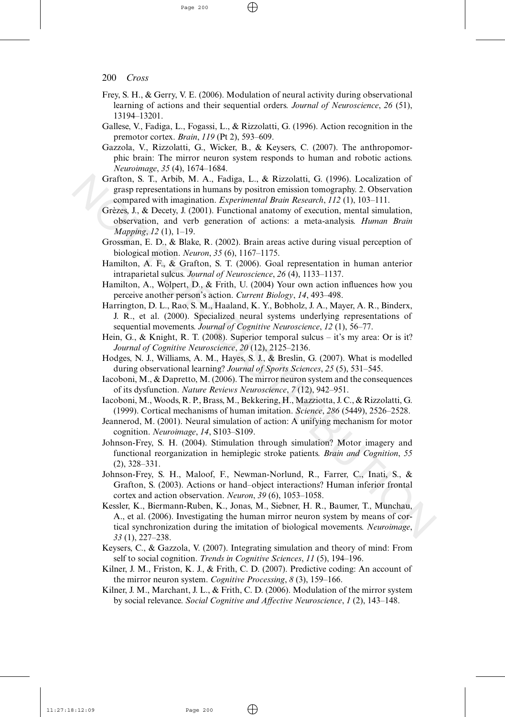$\oplus$ 

200 *Cross*

- Frey, S. H., & Gerry, V. E. (2006). Modulation of neural activity during observational learning of actions and their sequential orders. *Journal of Neuroscience*, *26* (51), 13194–13201.
- Gallese, V., Fadiga, L., Fogassi, L., & Rizzolatti, G. (1996). Action recognition in the premotor cortex. *Brain*, *119* (Pt 2), 593–609.
- Gazzola, V., Rizzolatti, G., Wicker, B., & Keysers, C. (2007). The anthropomorphic brain: The mirror neuron system responds to human and robotic actions. *Neuroimage*, *35* (4), 1674–1684.
- Grafton, S. T., Arbib, M. A., Fadiga, L., & Rizzolatti, G. (1996). Localization of grasp representations in humans by positron emission tomography. 2. Observation compared with imagination. *Experimental Brain Research*, *112* (1), 103–111.
- Grèzes, J., & Decety, J. (2001). Functional anatomy of execution, mental simulation, observation, and verb generation of actions: a meta-analysis. *Human Brain Mapping*, *12* (1), 1–19.
- Grossman, E. D., & Blake, R. (2002). Brain areas active during visual perception of biological motion. *Neuron*, *35* (6), 1167–1175.
- Hamilton, A. F., & Grafton, S. T. (2006). Goal representation in human anterior intraparietal sulcus. *Journal of Neuroscience*, *26* (4), 1133–1137.
- Hamilton, A., Wolpert, D., & Frith, U. (2004) Your own action influences how you perceive another person's action. *Current Biology*, *14*, 493–498.
- Harrington, D. L., Rao, S. M., Haaland, K. Y., Bobholz, J. A., Mayer, A. R., Binderx, J. R., et al. (2000). Specialized neural systems underlying representations of sequential movements. *Journal of Cognitive Neuroscience*, *12* (1), 56–77.
- Hein, G., & Knight, R. T. (2008). Superior temporal sulcus it's my area: Or is it? *Journal of Cognitive Neuroscience*, *20* (12), 2125–2136.
- Hodges, N. J., Williams, A. M., Hayes, S. J., & Breslin, G. (2007). What is modelled during observational learning? *Journal of Sports Sciences*, *25* (5), 531–545.
- Iacoboni, M., & Dapretto, M. (2006). The mirror neuron system and the consequences of its dysfunction. *Nature Reviews Neuroscience*, *7* (12), 942–951.
- Iacoboni, M., Woods, R. P., Brass, M., Bekkering, H., Mazziotta, J. C., & Rizzolatti, G. (1999). Cortical mechanisms of human imitation. *Science*, *286* (5449), 2526–2528.
- Jeannerod, M. (2001). Neural simulation of action: A unifying mechanism for motor cognition. *Neuroimage*, *14*, S103–S109.
- Johnson-Frey, S. H. (2004). Stimulation through simulation? Motor imagery and functional reorganization in hemiplegic stroke patients. *Brain and Cognition*, *55* (2), 328–331.
- Johnson-Frey, S. H., Maloof, F., Newman-Norlund, R., Farrer, C., Inati, S., & Grafton, S. (2003). Actions or hand–object interactions? Human inferior frontal cortex and action observation. *Neuron*, *39* (6), 1053–1058.
- Grafton, S. T., Arbit, M., A. Fadiga, L., & Rizzolati, G. (1996). Localization of<br>paraps persesentations in humans by positron emission tomography. 2. Observation<br>compared with imagination. *Experimental Brain Research, 1* Kessler, K., Biermann-Ruben, K., Jonas, M., Siebner, H. R., Baumer, T., Munchau, A., et al. (2006). Investigating the human mirror neuron system by means of cortical synchronization during the imitation of biological movements. *Neuroimage*, *33* (1), 227–238.
	- Keysers, C., & Gazzola, V. (2007). Integrating simulation and theory of mind: From self to social cognition. *Trends in Cognitive Sciences*, *11* (5), 194–196.
	- Kilner, J. M., Friston, K. J., & Frith, C. D. (2007). Predictive coding: An account of the mirror neuron system. *Cognitive Processing*, *8* (3), 159–166.
	- Kilner, J. M., Marchant, J. L., & Frith, C. D. (2006). Modulation of the mirror system by social relevance. *Social Cognitive and Affective Neuroscience*, *1* (2), 143–148.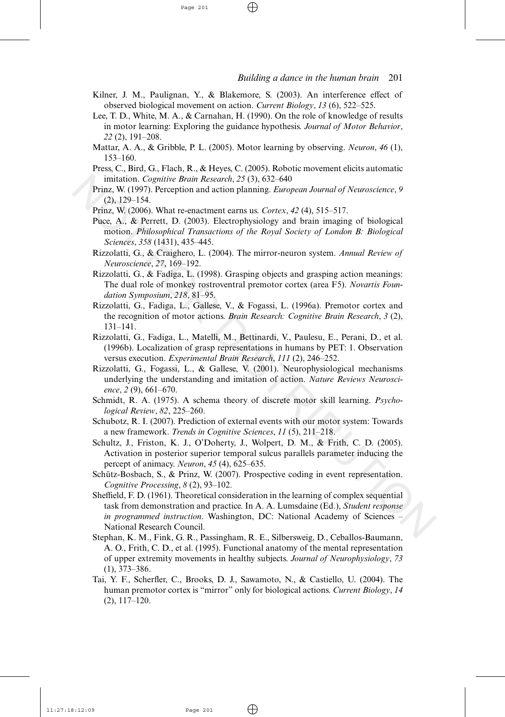Kilner, J. M., Paulignan, Y., & Blakemore, S. (2003). An interference effect of observed biological movement on action. *Current Biology*, *13* (6), 522–525.

 $\oplus$ 

- Lee, T. D., White, M. A., & Carnahan, H. (1990). On the role of knowledge of results in motor learning: Exploring the guidance hypothesis. *Journal of Motor Behavior*, *22* (2), 191–208.
- Mattar, A. A., & Gribble, P. L. (2005). Motor learning by observing. *Neuron*, *46* (1), 153–160.
- Press, C., Bird, G., Flach, R., & Heyes, C. (2005). Robotic movement elicits automatic imitation. *Cognitive Brain Research*, *25* (3), 632–640
- Prinz, W. (1997). Perception and action planning. *European Journal of Neuroscience*, *9* (2), 129–154.
- Prinz, W. (2006). What re-enactment earns us. *Cortex*, *42* (4), 515–517.

Page 201

- Puce, A., & Perrett, D. (2003). Electrophysiology and brain imaging of biological motion. *Philosophical Transactions of the Royal Society of London B: Biological Sciences*, *358* (1431), 435–445.
- Rizzolatti, G., & Craighero, L. (2004). The mirror-neuron system. *Annual Review of Neuroscience*, *27*, 169–192.
- Rizzolatti, G., & Fadiga, L. (1998). Grasping objects and grasping action meanings: The dual role of monkey rostroventral premotor cortex (area F5). *Novartis Foundation Symposium*, *218*, 81–95.
- Rizzolatti, G., Fadiga, L., Gallese, V., & Fogassi, L. (1996a). Premotor cortex and the recognition of motor actions. *Brain Research: Cognitive Brain Research*, *3* (2), 131–141.
- Rizzolatti, G., Fadiga, L., Matelli, M., Bettinardi, V., Paulesu, E., Perani, D., et al. (1996b). Localization of grasp representations in humans by PET: 1. Observation versus execution. *Experimental Brain Research*, *111* (2), 246–252.
- Rizzolatti, G., Fogassi, L., & Gallese, V. (2001). Neurophysiological mechanisms underlying the understanding and imitation of action. *Nature Reviews Neuroscience*, *2* (9), 661–670.
- Schmidt, R. A. (1975). A schema theory of discrete motor skill learning. *Psychological Review*, *82*, 225–260.
- Schubotz, R. I. (2007). Prediction of external events with our motor system: Towards a new framework. *Trends in Cognitive Sciences*, *11* (5), 211–218.
- Schultz, J., Friston, K. J., O'Doherty, J., Wolpert, D. M., & Frith, C. D. (2005). Activation in posterior superior temporal sulcus parallels parameter inducing the percept of animacy. *Neuron*, *45* (4), 625–635.
- Schütz-Bosbach, S., & Prinz, W. (2007). Prospective coding in event representation. *Cognitive Processing*, *8* (2), 93–102.
- imitation. Cognitive Brain Research, 25 (3), 632–640<br>
Prinx, W. (1997). Perception and action phasing. European Journal of Neuroscience, 9<br>
(2), 129–154.<br>
Prinx, W. (2006). West researctment expansions Cortex, 42 (4), 515 Sheffield, F. D. (1961). Theoretical consideration in the learning of complex sequential task from demonstration and practice. In A. A. Lumsdaine (Ed.), *Student response in programmed instruction*. Washington, DC: National Academy of Sciences – National Research Council.
	- Stephan, K. M., Fink, G. R., Passingham, R. E., Silbersweig, D., Ceballos-Baumann, A. O., Frith, C. D., et al. (1995). Functional anatomy of the mental representation of upper extremity movements in healthy subjects. *Journal of Neurophysiology*, *73* (1), 373–386.
	- Tai, Y. F., Scherfler, C., Brooks, D. J., Sawamoto, N., & Castiello, U. (2004). The human premotor cortex is "mirror" only for biological actions. *Current Biology*, *14* (2), 117–120.